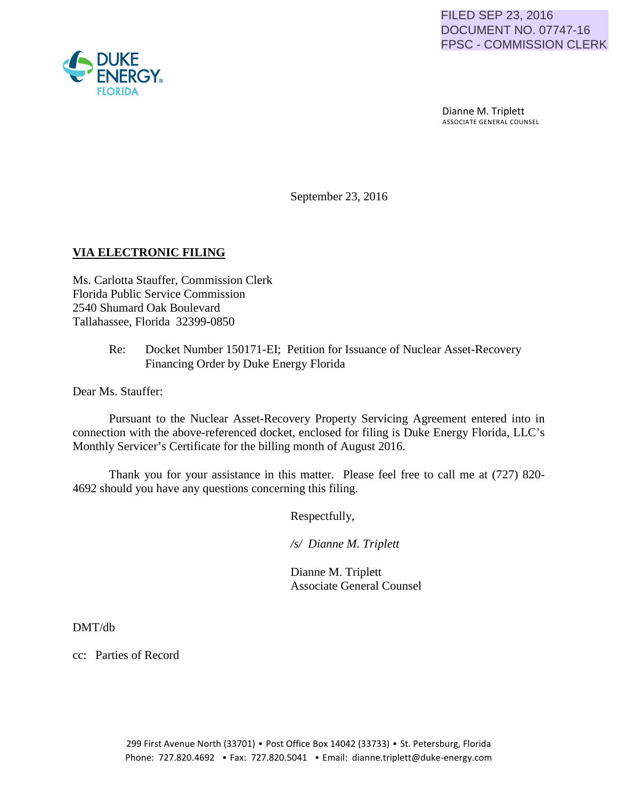

 Dianne M. Triplett ASSOCIATE GENERAL COUNSEL

September 23, 2016

## **VIA ELECTRONIC FILING**

Ms. Carlotta Stauffer, Commission Clerk Florida Public Service Commission 2540 Shumard Oak Boulevard Tallahassee, Florida 32399-0850

> Re: Docket Number 150171-EI; Petition for Issuance of Nuclear Asset-Recovery Financing Order by Duke Energy Florida

Dear Ms. Stauffer:

Pursuant to the Nuclear Asset-Recovery Property Servicing Agreement entered into in connection with the above-referenced docket, enclosed for filing is Duke Energy Florida, LLC's Monthly Servicer's Certificate for the billing month of August 2016.

Thank you for your assistance in this matter. Please feel free to call me at (727) 820- 4692 should you have any questions concerning this filing.

Respectfully,

 */s/ Dianne M. Triplett*

 Dianne M. Triplett Associate General Counsel

DMT/db

cc: Parties of Record

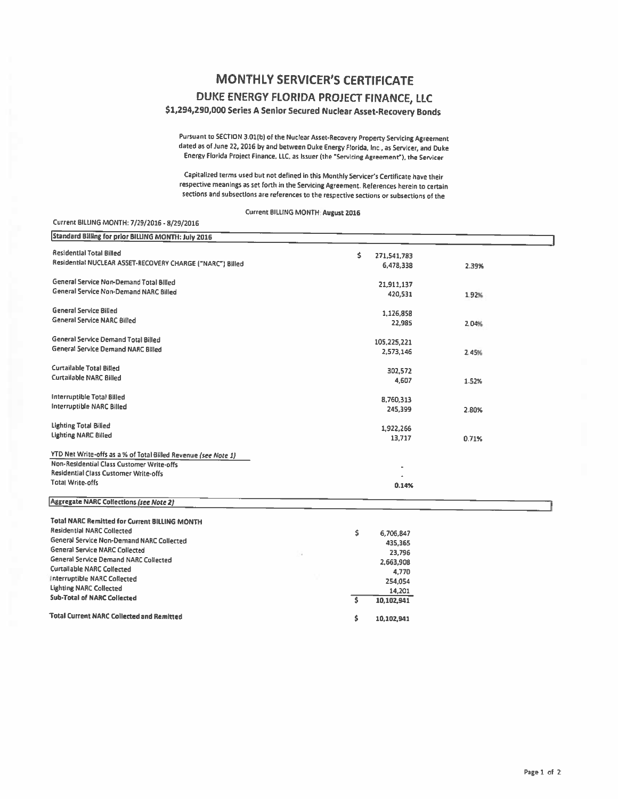## **MONTHLY SERVICER'S CERTIFICATE**

## DUKE ENERGY FLORIDA PROJECT FINANCE, LLC

\$1,294,290,000 Series A Senior Secured Nuclear Asset-Recovery Bonds

Pursuant to SECTION 3.01(b) of the Nuclear Asset-Recovery Property Servicing Agreement dated as of June 22, 2016 by and between Duke Energy Florida, Inc., as Servicer, and Duke Energy Florida Project Finance, LLC, as Issuer (the "Servicing Agreement"), the Servicer

Capitalized terms used but not defined in this Monthly Servicer's Certificate have their respective meanings as set forth in the Servicing Agreement. References herein to certain sections and subsections are references to the respective sections or subsections of the

Current BILLING MONTH: August 2016

## Current BILLING MONTH: 7/29/2016 - 8/29/2016

| Standard Billing for prior BILLING MONTH: July 2016            |                   |       |
|----------------------------------------------------------------|-------------------|-------|
| <b>Residential Total Billed</b>                                | \$<br>271,541,783 |       |
| Residential NUCLEAR ASSET-RECOVERY CHARGE ("NARC") Billed      | 6,478,338         | 2.39% |
| General Service Non-Demand Total Billed                        | 21,911,137        |       |
| General Service Non-Demand NARC Billed                         | 420,531           | 1.92% |
| <b>General Service Billed</b>                                  | 1,126,858         |       |
| <b>General Service NARC Billed</b>                             | 22,985            | 2.04% |
| <b>General Service Demand Total Billed</b>                     | 105,225,221       |       |
| <b>General Service Demand NARC Billed</b>                      | 2,573,146         | 2.45% |
| <b>Curtailable Total Billed</b>                                | 302,572           |       |
| <b>Curtailable NARC Billed</b>                                 | 4,607             | 1.52% |
| <b>Interruptible Total Billed</b>                              | 8,760,313         |       |
| Interruptible NARC Billed                                      | 245,399           | 2.80% |
| <b>Lighting Total Billed</b>                                   | 1,922,266         |       |
| <b>Lighting NARC Billed</b>                                    | 13,717            | 0.71% |
| YTD Net Write-offs as a % of Total Billed Revenue (see Note 1) |                   |       |
| Non-Residential Class Customer Write-offs                      |                   |       |
| <b>Residential Class Customer Write-offs</b>                   |                   |       |
| <b>Total Write-offs</b>                                        | 0.14%             |       |
| <b>Aggregate NARC Collections (see Note 2)</b>                 |                   |       |
| <b>Total NARC Remitted for Current BILLING MONTH</b>           |                   |       |
| <b>Residential NARC Collected</b>                              | Ś<br>6,706,847    |       |
| <b>General Service Non-Demand NARC Collected</b>               | 435,365           |       |
| <b>General Service NARC Collected</b>                          | 23,796            |       |
| $\sim$                                                         |                   |       |

| General Service NARC Collected                   |  | -------    |
|--------------------------------------------------|--|------------|
|                                                  |  | 23,796     |
| General Service Demand NARC Collected            |  | 2,663,908  |
| <b>Curtallable NARC Collected</b>                |  | 4.770      |
| Interruptible NARC Collected                     |  | 254.054    |
| <b>Lighting NARC Collected</b>                   |  | 14.201     |
| <b>Sub-Total of NARC Collected</b>               |  | 10.102.941 |
| <b>Total Current NARC Collected and Remitted</b> |  | 10.102.941 |